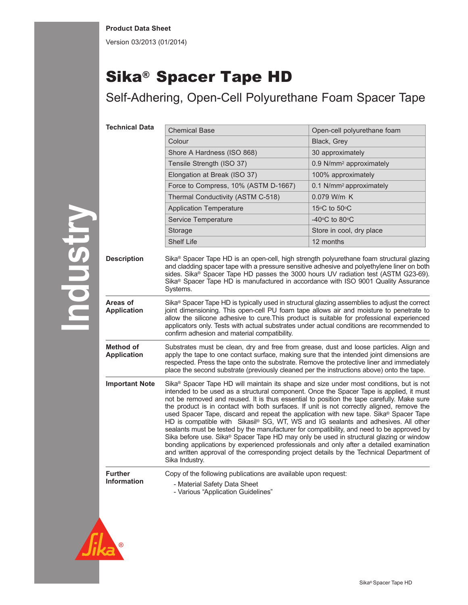Version 03/2013 (01/2014)

## Sika® Spacer Tape HD

Self-Adhering, Open-Cell Polyurethane Foam Spacer Tape

| <b>Technical Data</b>           | <b>Chemical Base</b>                                                                                                                                                                                                                                                                                                                                                                                                                                                                                                                                                                                                                                                                                                                                                                                                                                                                                                                                                                 | Open-cell polyurethane foam         |  |
|---------------------------------|--------------------------------------------------------------------------------------------------------------------------------------------------------------------------------------------------------------------------------------------------------------------------------------------------------------------------------------------------------------------------------------------------------------------------------------------------------------------------------------------------------------------------------------------------------------------------------------------------------------------------------------------------------------------------------------------------------------------------------------------------------------------------------------------------------------------------------------------------------------------------------------------------------------------------------------------------------------------------------------|-------------------------------------|--|
|                                 | Colour                                                                                                                                                                                                                                                                                                                                                                                                                                                                                                                                                                                                                                                                                                                                                                                                                                                                                                                                                                               | Black, Grey                         |  |
|                                 | Shore A Hardness (ISO 868)                                                                                                                                                                                                                                                                                                                                                                                                                                                                                                                                                                                                                                                                                                                                                                                                                                                                                                                                                           | 30 approximately                    |  |
|                                 | Tensile Strength (ISO 37)                                                                                                                                                                                                                                                                                                                                                                                                                                                                                                                                                                                                                                                                                                                                                                                                                                                                                                                                                            | 0.9 N/mm <sup>2</sup> approximately |  |
|                                 | Elongation at Break (ISO 37)                                                                                                                                                                                                                                                                                                                                                                                                                                                                                                                                                                                                                                                                                                                                                                                                                                                                                                                                                         | 100% approximately                  |  |
|                                 | Force to Compress, 10% (ASTM D-1667)                                                                                                                                                                                                                                                                                                                                                                                                                                                                                                                                                                                                                                                                                                                                                                                                                                                                                                                                                 | 0.1 N/mm <sup>2</sup> approximately |  |
|                                 | Thermal Conductivity (ASTM C-518)                                                                                                                                                                                                                                                                                                                                                                                                                                                                                                                                                                                                                                                                                                                                                                                                                                                                                                                                                    | 0.079 W/m K                         |  |
|                                 | <b>Application Temperature</b>                                                                                                                                                                                                                                                                                                                                                                                                                                                                                                                                                                                                                                                                                                                                                                                                                                                                                                                                                       | 15°C to 50°C                        |  |
|                                 | Service Temperature                                                                                                                                                                                                                                                                                                                                                                                                                                                                                                                                                                                                                                                                                                                                                                                                                                                                                                                                                                  | -40 $\circ$ C to 80 $\circ$ C       |  |
|                                 | Storage                                                                                                                                                                                                                                                                                                                                                                                                                                                                                                                                                                                                                                                                                                                                                                                                                                                                                                                                                                              | Store in cool, dry place            |  |
|                                 | <b>Shelf Life</b>                                                                                                                                                                                                                                                                                                                                                                                                                                                                                                                                                                                                                                                                                                                                                                                                                                                                                                                                                                    | 12 months                           |  |
| <b>Description</b>              | Sika <sup>®</sup> Spacer Tape HD is an open-cell, high strength polyurethane foam structural glazing<br>and cladding spacer tape with a pressure sensitive adhesive and polyethylene liner on both<br>sides. Sika® Spacer Tape HD passes the 3000 hours UV radiation test (ASTM G23-69).<br>Sika <sup>®</sup> Spacer Tape HD is manufactured in accordance with ISO 9001 Quality Assurance<br>Systems.                                                                                                                                                                                                                                                                                                                                                                                                                                                                                                                                                                               |                                     |  |
| Areas of<br><b>Application</b>  | Sika® Spacer Tape HD is typically used in structural glazing assemblies to adjust the correct<br>joint dimensioning. This open-cell PU foam tape allows air and moisture to penetrate to<br>allow the silicone adhesive to cure. This product is suitable for professional experienced<br>applicators only. Tests with actual substrates under actual conditions are recommended to<br>confirm adhesion and material compatibility.                                                                                                                                                                                                                                                                                                                                                                                                                                                                                                                                                  |                                     |  |
| Method of<br><b>Application</b> | Substrates must be clean, dry and free from grease, dust and loose particles. Align and<br>apply the tape to one contact surface, making sure that the intended joint dimensions are<br>respected. Press the tape onto the substrate. Remove the protective liner and immediately<br>place the second substrate (previously cleaned per the instructions above) onto the tape.                                                                                                                                                                                                                                                                                                                                                                                                                                                                                                                                                                                                       |                                     |  |
| <b>Important Note</b>           | Sika <sup>®</sup> Spacer Tape HD will maintain its shape and size under most conditions, but is not<br>intended to be used as a structural component. Once the Spacer Tape is applied, it must<br>not be removed and reused. It is thus essential to position the tape carefully. Make sure<br>the product is in contact with both surfaces. If unit is not correctly aligned, remove the<br>used Spacer Tape, discard and repeat the application with new tape. Sika® Spacer Tape<br>HD is compatible with Sikasil® SG, WT, WS and IG sealants and adhesives. All other<br>sealants must be tested by the manufacturer for compatibility, and need to be approved by<br>Sika before use. Sika <sup>®</sup> Spacer Tape HD may only be used in structural glazing or window<br>bonding applications by experienced professionals and only after a detailed examination<br>and written approval of the corresponding project details by the Technical Department of<br>Sika Industry. |                                     |  |
| <b>Further</b>                  | Copy of the following publications are available upon request:                                                                                                                                                                                                                                                                                                                                                                                                                                                                                                                                                                                                                                                                                                                                                                                                                                                                                                                       |                                     |  |
| <b>Information</b>              | - Material Safety Data Sheet<br>- Various "Application Guidelines"                                                                                                                                                                                                                                                                                                                                                                                                                                                                                                                                                                                                                                                                                                                                                                                                                                                                                                                   |                                     |  |
|                                 |                                                                                                                                                                                                                                                                                                                                                                                                                                                                                                                                                                                                                                                                                                                                                                                                                                                                                                                                                                                      |                                     |  |



**Industry**